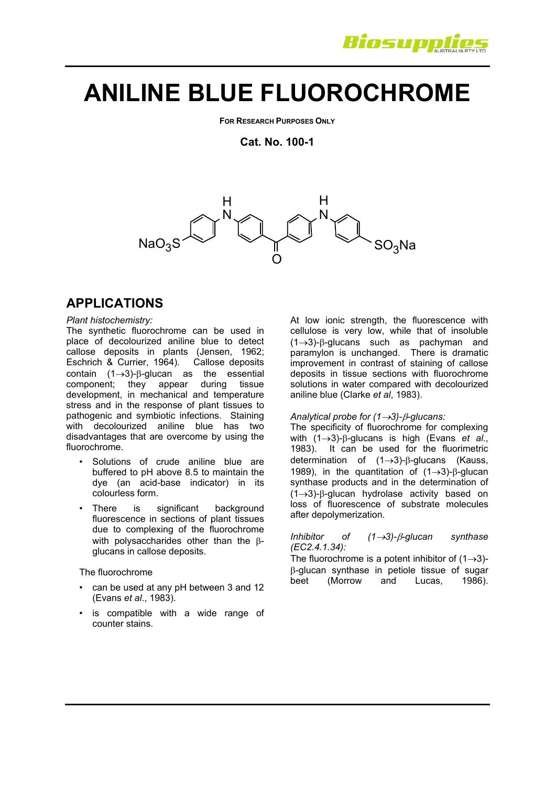

# **ANILINE BLUE FLUOROCHROME**

**FOR RESEARCH PURPOSES ONLY**

**Cat. No. 100-1** 



# **APPLICATIONS**

#### *Plant histochemistry:*

The synthetic fluorochrome can be used in place of decolourized aniline blue to detect callose deposits in plants (Jensen, 1962; Eschrich & Currier, 1964). Callose deposits contain  $(1\rightarrow 3)$ - $\beta$ -glucan as the essential component: they appear during tissue  $component;$  they appear during development, in mechanical and temperature stress and in the response of plant tissues to pathogenic and symbiotic infections. Staining with decolourized aniline blue has two disadvantages that are overcome by using the fluorochrome.

- Solutions of crude aniline blue are buffered to pH above 8.5 to maintain the dye (an acid-base indicator) in its colourless form.
- There is significant background fluorescence in sections of plant tissues due to complexing of the fluorochrome with polysaccharides other than the  $\beta$ glucans in callose deposits.

The fluorochrome

- can be used at any pH between 3 and 12 (Evans *et al*., 1983).
- is compatible with a wide range of counter stains.

At low ionic strength, the fluorescence with cellulose is very low, while that of insoluble  $(1\rightarrow 3)$ - $\beta$ -glucans such as pachyman and paramylon is unchanged. There is dramatic improvement in contrast of staining of callose deposits in tissue sections with fluorochrome solutions in water compared with decolourized aniline blue (Clarke *et al*, 1983).

#### *Analytical probe for (13)--glucans:*

The specificity of fluorochrome for complexing with  $(1\rightarrow3)$ - $\beta$ -glucans is high (Evans *et al.*, 1983). It can be used for the fluorimetric determination of  $(1\rightarrow3)$ - $\beta$ -glucans (Kauss, 1989), in the quantitation of  $(1\rightarrow3)$ - $\beta$ -qlucan synthase products and in the determination of  $(1\rightarrow3)$ - $\beta$ -glucan hydrolase activity based on loss of fluorescence of substrate molecules after depolymerization.

#### *Inhibitor of (1→3)-β-glucan synthase (EC2.4.1.34):*

The fluorochrome is a potent inhibitor of  $(1\rightarrow3)$ - $\beta$ -glucan synthase in petiole tissue of sugar<br>beet (Morrow and Lucas. 1986). (Morrow and Lucas, 1986).